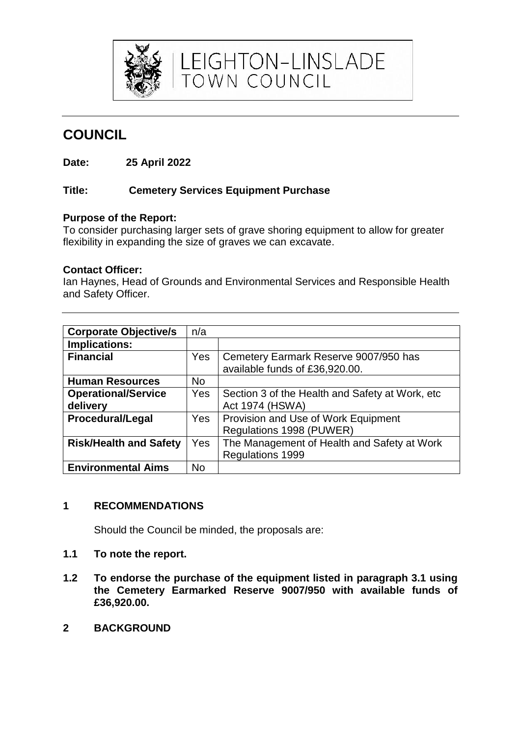

**COUNCIL**

**Date: 25 April 2022**

#### **Title: Cemetery Services Equipment Purchase**

#### **Purpose of the Report:**

To consider purchasing larger sets of grave shoring equipment to allow for greater flexibility in expanding the size of graves we can excavate.

LEIGHTON-LINSLADE<br>TOWN COUNCIL

#### **Contact Officer:**

Ian Haynes, Head of Grounds and Environmental Services and Responsible Health and Safety Officer.

| <b>Corporate Objective/s</b>  | n/a       |                                                  |
|-------------------------------|-----------|--------------------------------------------------|
| <b>Implications:</b>          |           |                                                  |
| <b>Financial</b>              | Yes       | Cemetery Earmark Reserve 9007/950 has            |
|                               |           | available funds of £36,920.00.                   |
| <b>Human Resources</b>        | <b>No</b> |                                                  |
| <b>Operational/Service</b>    | Yes       | Section 3 of the Health and Safety at Work, etc. |
| delivery                      |           | <b>Act 1974 (HSWA)</b>                           |
| <b>Procedural/Legal</b>       | Yes       | Provision and Use of Work Equipment              |
|                               |           | Regulations 1998 (PUWER)                         |
| <b>Risk/Health and Safety</b> | Yes       | The Management of Health and Safety at Work      |
|                               |           | Regulations 1999                                 |
| <b>Environmental Aims</b>     | No        |                                                  |

## **1 RECOMMENDATIONS**

Should the Council be minded, the proposals are:

- **1.1 To note the report.**
- **1.2 To endorse the purchase of the equipment listed in paragraph 3.1 using the Cemetery Earmarked Reserve 9007/950 with available funds of £36,920.00.**
- **2 BACKGROUND**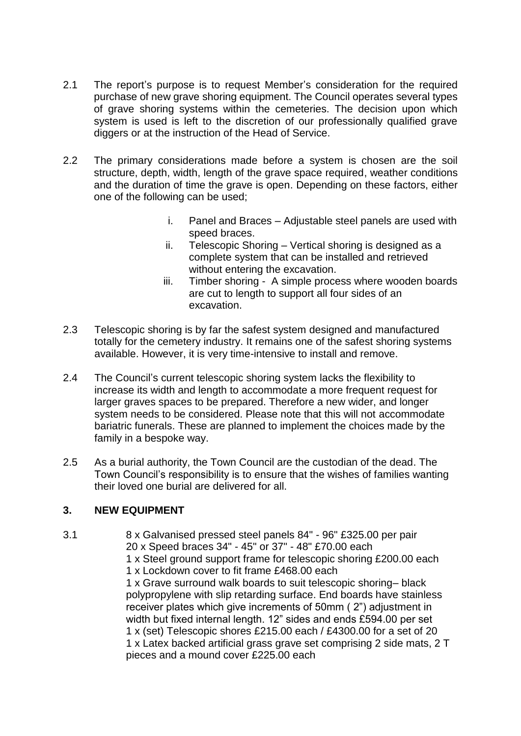- 2.1 The report's purpose is to request Member's consideration for the required purchase of new grave shoring equipment. The Council operates several types of grave shoring systems within the cemeteries. The decision upon which system is used is left to the discretion of our professionally qualified grave diggers or at the instruction of the Head of Service.
- 2.2 The primary considerations made before a system is chosen are the soil structure, depth, width, length of the grave space required, weather conditions and the duration of time the grave is open. Depending on these factors, either one of the following can be used;
	- i. Panel and Braces Adjustable steel panels are used with speed braces.
	- ii. Telescopic Shoring Vertical shoring is designed as a complete system that can be installed and retrieved without entering the excavation.
	- iii. Timber shoring A simple process where wooden boards are cut to length to support all four sides of an excavation.
- 2.3 Telescopic shoring is by far the safest system designed and manufactured totally for the cemetery industry. It remains one of the safest shoring systems available. However, it is very time-intensive to install and remove.
- 2.4 The Council's current telescopic shoring system lacks the flexibility to increase its width and length to accommodate a more frequent request for larger graves spaces to be prepared. Therefore a new wider, and longer system needs to be considered. Please note that this will not accommodate bariatric funerals. These are planned to implement the choices made by the family in a bespoke way.
- 2.5 As a burial authority, the Town Council are the custodian of the dead. The Town Council's responsibility is to ensure that the wishes of families wanting their loved one burial are delivered for all.

### **3. NEW EQUIPMENT**

3.1 8 x Galvanised pressed steel panels 84" - 96" £325.00 per pair 20 x Speed braces 34" - 45" or 37" - 48" £70.00 each 1 x Steel ground support frame for telescopic shoring £200.00 each 1 x Lockdown cover to fit frame £468.00 each 1 x Grave surround walk boards to suit telescopic shoring– black polypropylene with slip retarding surface. End boards have stainless receiver plates which give increments of 50mm ( 2") adjustment in width but fixed internal length. 12" sides and ends £594.00 per set 1 x (set) Telescopic shores £215.00 each / £4300.00 for a set of 20 1 x Latex backed artificial grass grave set comprising 2 side mats, 2 T pieces and a mound cover £225.00 each